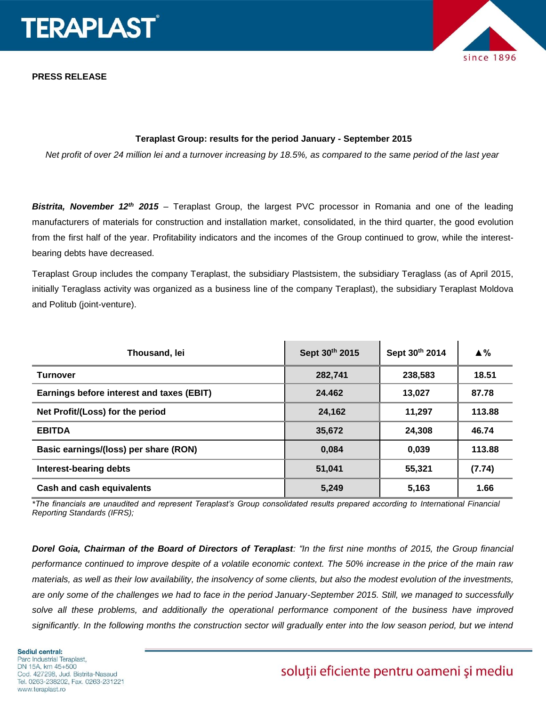



### **Teraplast Group: results for the period January - September 2015**

*Net profit of over 24 million lei and a turnover increasing by 18.5%, as compared to the same period of the last year*

*Bistrita, November 12th 2015* – Teraplast Group, the largest PVC processor in Romania and one of the leading manufacturers of materials for construction and installation market, consolidated, in the third quarter, the good evolution from the first half of the year. Profitability indicators and the incomes of the Group continued to grow, while the interestbearing debts have decreased.

Teraplast Group includes the company Teraplast, the subsidiary Plastsistem, the subsidiary Teraglass (as of April 2015, initially Teraglass activity was organized as a business line of the company Teraplast), the subsidiary Teraplast Moldova and Politub (joint-venture).

| Thousand, lei                             | Sept 30th 2015 | Sept 30th 2014 | $\triangle$ % |
|-------------------------------------------|----------------|----------------|---------------|
| <b>Turnover</b>                           | 282.741        | 238,583        | 18.51         |
| Earnings before interest and taxes (EBIT) | 24.462         | 13,027         | 87.78         |
| Net Profit/(Loss) for the period          | 24,162         | 11.297         | 113.88        |
| <b>EBITDA</b>                             | 35,672         | 24.308         | 46.74         |
| Basic earnings/(loss) per share (RON)     | 0,084          | 0,039          | 113.88        |
| Interest-bearing debts                    | 51,041         | 55,321         | (7.74)        |
| Cash and cash equivalents                 | 5,249          | 5,163          | 1.66          |

*\*The financials are unaudited and represent Teraplast's Group consolidated results prepared according to International Financial Reporting Standards (IFRS);*

*Dorel Goia, Chairman of the Board of Directors of Teraplast: "In the first nine months of 2015, the Group financial performance continued to improve despite of a volatile economic context. The 50% increase in the price of the main raw materials, as well as their low availability, the insolvency of some clients, but also the modest evolution of the investments, are only some of the challenges we had to face in the period January-September 2015. Still, we managed to successfully*  solve all these problems, and additionally the operational performance component of the business have improved *significantly. In the following months the construction sector will gradually enter into the low season period, but we intend* 

# soluții eficiente pentru oameni și mediu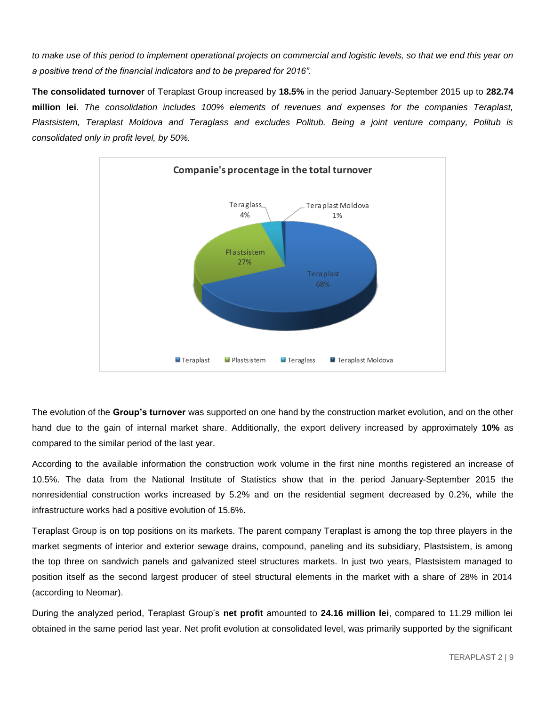*to make use of this period to implement operational projects on commercial and logistic levels, so that we end this year on a positive trend of the financial indicators and to be prepared for 2016".* 

**The consolidated turnover** of Teraplast Group increased by **18.5%** in the period January-September 2015 up to **282.74 million lei.** *The consolidation includes 100% elements of revenues and expenses for the companies Teraplast, Plastsistem, Teraplast Moldova and Teraglass and excludes Politub. Being a joint venture company, Politub is consolidated only in profit level, by 50%.* 



The evolution of the **Group's turnover** was supported on one hand by the construction market evolution, and on the other hand due to the gain of internal market share. Additionally, the export delivery increased by approximately **10%** as compared to the similar period of the last year.

According to the available information the construction work volume in the first nine months registered an increase of 10.5%. The data from the National Institute of Statistics show that in the period January-September 2015 the nonresidential construction works increased by 5.2% and on the residential segment decreased by 0.2%, while the infrastructure works had a positive evolution of 15.6%.

Teraplast Group is on top positions on its markets. The parent company Teraplast is among the top three players in the market segments of interior and exterior sewage drains, compound, paneling and its subsidiary, Plastsistem, is among the top three on sandwich panels and galvanized steel structures markets. In just two years, Plastsistem managed to position itself as the second largest producer of steel structural elements in the market with a share of 28% in 2014 (according to Neomar).

During the analyzed period, Teraplast Group's **net profit** amounted to **24.16 million lei**, compared to 11.29 million lei obtained in the same period last year. Net profit evolution at consolidated level, was primarily supported by the significant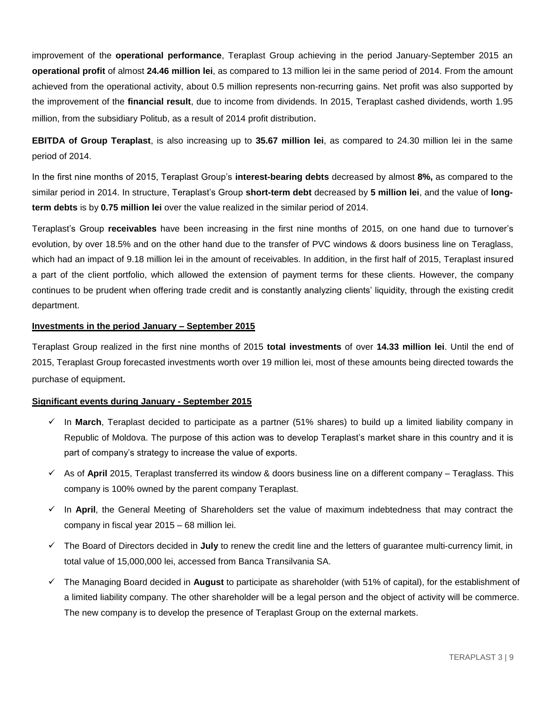improvement of the **operational performance**, Teraplast Group achieving in the period January-September 2015 an **operational profit** of almost **24.46 million lei**, as compared to 13 million lei in the same period of 2014. From the amount achieved from the operational activity, about 0.5 million represents non-recurring gains. Net profit was also supported by the improvement of the **financial result**, due to income from dividends. In 2015, Teraplast cashed dividends, worth 1.95 million, from the subsidiary Politub, as a result of 2014 profit distribution.

**EBITDA of Group Teraplast**, is also increasing up to **35.67 million lei**, as compared to 24.30 million lei in the same period of 2014.

In the first nine months of 2015, Teraplast Group's **interest-bearing debts** decreased by almost **8%,** as compared to the similar period in 2014. In structure, Teraplast's Group **short-term debt** decreased by **5 million lei**, and the value of **longterm debts** is by **0.75 million lei** over the value realized in the similar period of 2014.

Teraplast's Group **receivables** have been increasing in the first nine months of 2015, on one hand due to turnover's evolution, by over 18.5% and on the other hand due to the transfer of PVC windows & doors business line on Teraglass, which had an impact of 9.18 million lei in the amount of receivables. In addition, in the first half of 2015, Teraplast insured a part of the client portfolio, which allowed the extension of payment terms for these clients. However, the company continues to be prudent when offering trade credit and is constantly analyzing clients' liquidity, through the existing credit department.

### **Investments in the period January – September 2015**

Teraplast Group realized in the first nine months of 2015 **total investments** of over **14.33 million lei**. Until the end of 2015, Teraplast Group forecasted investments worth over 19 million lei, most of these amounts being directed towards the purchase of equipment.

### **Significant events during January - September 2015**

- In **March**, Teraplast decided to participate as a partner (51% shares) to build up a limited liability company in Republic of Moldova. The purpose of this action was to develop Teraplast's market share in this country and it is part of company's strategy to increase the value of exports.
- $\checkmark$  As of April 2015, Teraplast transferred its window & doors business line on a different company Teraglass. This company is 100% owned by the parent company Teraplast.
- $\checkmark$  In April, the General Meeting of Shareholders set the value of maximum indebtedness that may contract the company in fiscal year 2015 – 68 million lei.
- The Board of Directors decided in **July** to renew the credit line and the letters of guarantee multi-currency limit, in total value of 15,000,000 lei, accessed from Banca Transilvania SA.
- The Managing Board decided in **August** to participate as shareholder (with 51% of capital), for the establishment of a limited liability company. The other shareholder will be a legal person and the object of activity will be commerce. The new company is to develop the presence of Teraplast Group on the external markets.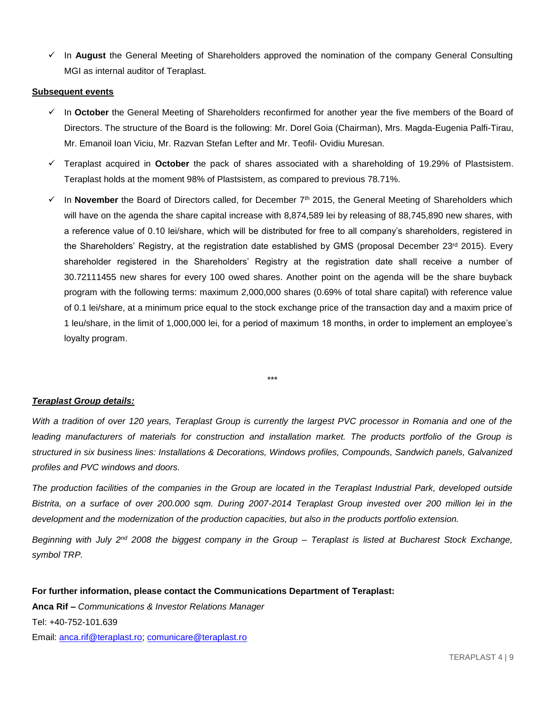In **August** the General Meeting of Shareholders approved the nomination of the company General Consulting MGI as internal auditor of Teraplast.

#### **Subsequent events**

- In **October** the General Meeting of Shareholders reconfirmed for another year the five members of the Board of Directors. The structure of the Board is the following: Mr. Dorel Goia (Chairman), Mrs. Magda-Eugenia Palfi-Tirau, Mr. Emanoil Ioan Viciu, Mr. Razvan Stefan Lefter and Mr. Teofil- Ovidiu Muresan.
- Teraplast acquired in **October** the pack of shares associated with a shareholding of 19.29% of Plastsistem. Teraplast holds at the moment 98% of Plastsistem, as compared to previous 78.71%.
- $\checkmark$  In **November** the Board of Directors called, for December 7<sup>th</sup> 2015, the General Meeting of Shareholders which will have on the agenda the share capital increase with 8,874,589 lei by releasing of 88,745,890 new shares, with a reference value of 0.10 lei/share, which will be distributed for free to all company's shareholders, registered in the Shareholders' Registry, at the registration date established by GMS (proposal December 23rd 2015). Every shareholder registered in the Shareholders' Registry at the registration date shall receive a number of 30.72111455 new shares for every 100 owed shares. Another point on the agenda will be the share buyback program with the following terms: maximum 2,000,000 shares (0.69% of total share capital) with reference value of 0.1 lei/share, at a minimum price equal to the stock exchange price of the transaction day and a maxim price of 1 leu/share, in the limit of 1,000,000 lei, for a period of maximum 18 months, in order to implement an employee's loyalty program.

\*\*\*

### *Teraplast Group details:*

*With a tradition of over 120 years, Teraplast Group is currently the largest PVC processor in Romania and one of the*  leading manufacturers of materials for construction and installation market. The products portfolio of the Group is *structured in six business lines: Installations & Decorations, Windows profiles, Compounds, Sandwich panels, Galvanized profiles and PVC windows and doors.*

*The production facilities of the companies in the Group are located in the Teraplast Industrial Park, developed outside Bistrita, on a surface of over 200.000 sqm. During 2007-2014 Teraplast Group invested over 200 million lei in the development and the modernization of the production capacities, but also in the products portfolio extension.* 

*Beginning with July 2nd 2008 the biggest company in the Group – Teraplast is listed at Bucharest Stock Exchange, symbol TRP.* 

**For further information, please contact the Communications Department of Teraplast: Anca Rif –** *Communications & Investor Relations Manager* Tel: +40-752-101.639 Email: [anca.rif@teraplast.ro;](mailto:anca.rif@teraplast.ro) [comunicare@teraplast.ro](mailto:comunicare@teraplast.ro)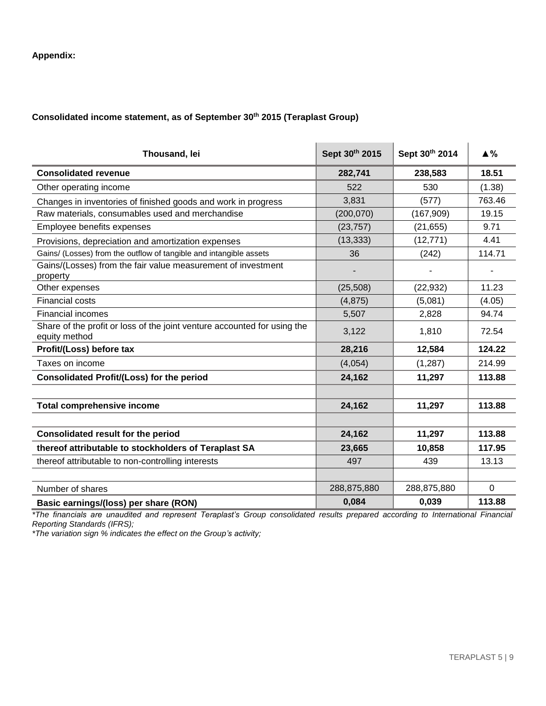## **Appendix:**

## **Consolidated income statement, as of September 30th 2015 (Teraplast Group)**

| Thousand, lei                                                                             | Sept 30th 2015 | Sept 30th 2014 | $\blacktriangle$ % |
|-------------------------------------------------------------------------------------------|----------------|----------------|--------------------|
| <b>Consolidated revenue</b>                                                               | 282,741        | 238,583        | 18.51              |
| Other operating income                                                                    | 522            | 530            | (1.38)             |
| Changes in inventories of finished goods and work in progress                             | 3,831          | (577)          | 763.46             |
| Raw materials, consumables used and merchandise                                           | (200, 070)     | (167, 909)     | 19.15              |
| Employee benefits expenses                                                                | (23, 757)      | (21, 655)      | 9.71               |
| Provisions, depreciation and amortization expenses                                        | (13, 333)      | (12, 771)      | 4.41               |
| Gains/ (Losses) from the outflow of tangible and intangible assets                        | 36             | (242)          | 114.71             |
| Gains/(Losses) from the fair value measurement of investment<br>property                  |                |                |                    |
| Other expenses                                                                            | (25, 508)      | (22, 932)      | 11.23              |
| <b>Financial costs</b>                                                                    | (4, 875)       | (5,081)        | (4.05)             |
| <b>Financial incomes</b>                                                                  | 5,507          | 2,828          | 94.74              |
| Share of the profit or loss of the joint venture accounted for using the<br>equity method | 3,122          | 1,810          | 72.54              |
| Profit/(Loss) before tax                                                                  | 28,216         | 12,584         | 124.22             |
| Taxes on income                                                                           | (4,054)        | (1, 287)       | 214.99             |
| <b>Consolidated Profit/(Loss) for the period</b>                                          | 24,162         | 11,297         | 113.88             |
|                                                                                           |                |                |                    |
| <b>Total comprehensive income</b>                                                         | 24,162         | 11,297         | 113.88             |
|                                                                                           |                |                |                    |
| <b>Consolidated result for the period</b>                                                 | 24,162         | 11,297         | 113.88             |
| thereof attributable to stockholders of Teraplast SA                                      | 23,665         | 10,858         | 117.95             |
| thereof attributable to non-controlling interests                                         | 497            | 439            | 13.13              |
|                                                                                           |                |                |                    |
| Number of shares                                                                          | 288,875,880    | 288,875,880    | $\mathbf 0$        |
| Basic earnings/(loss) per share (RON)                                                     | 0,084          | 0,039          | 113.88             |

*\*The financials are unaudited and represent Teraplast's Group consolidated results prepared according to International Financial Reporting Standards (IFRS);*

*\*The variation sign % indicates the effect on the Group's activity;*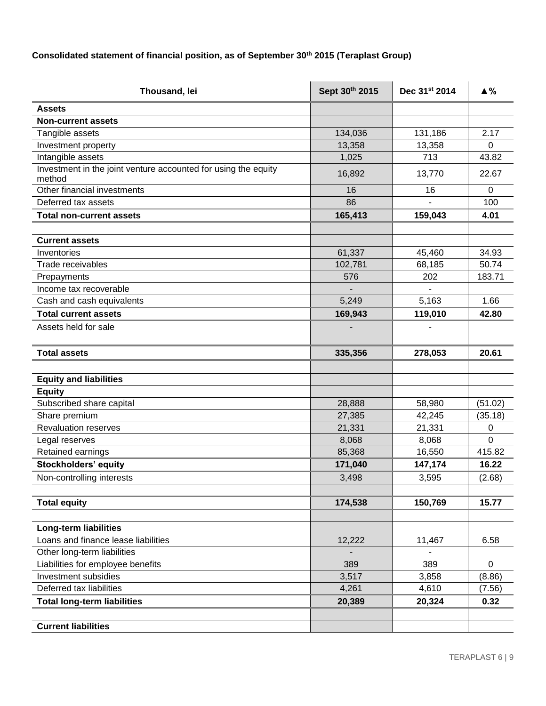# **Consolidated statement of financial position, as of September 30th 2015 (Teraplast Group)**

| Thousand, lei                                                  | Sept 30th 2015 | Dec 31st 2014  | $\triangle$ %    |
|----------------------------------------------------------------|----------------|----------------|------------------|
| <b>Assets</b>                                                  |                |                |                  |
| <b>Non-current assets</b>                                      |                |                |                  |
| Tangible assets                                                | 134,036        | 131,186        | 2.17             |
| Investment property                                            | 13,358         | 13,358         | $\Omega$         |
| Intangible assets                                              | 1,025          | 713            | 43.82            |
| Investment in the joint venture accounted for using the equity | 16,892         | 13,770         | 22.67            |
| method                                                         |                |                |                  |
| Other financial investments<br>Deferred tax assets             | 16<br>86       | 16             | $\mathbf 0$      |
|                                                                |                |                | 100              |
| <b>Total non-current assets</b>                                | 165,413        | 159,043        | 4.01             |
| <b>Current assets</b>                                          |                |                |                  |
| Inventories                                                    | 61,337         | 45,460         | 34.93            |
| Trade receivables                                              | 102,781        | 68,185         | 50.74            |
| Prepayments                                                    | 576            | 202            | 183.71           |
| Income tax recoverable                                         |                |                |                  |
| Cash and cash equivalents                                      | 5,249          | 5,163          | 1.66             |
| <b>Total current assets</b>                                    | 169,943        | 119,010        | 42.80            |
| Assets held for sale                                           |                |                |                  |
|                                                                |                |                |                  |
| <b>Total assets</b>                                            | 335,356        | 278,053        | 20.61            |
|                                                                |                |                |                  |
| <b>Equity and liabilities</b>                                  |                |                |                  |
| <b>Equity</b>                                                  |                |                |                  |
| Subscribed share capital                                       | 28,888         | 58,980         | (51.02)          |
| Share premium                                                  | 27,385         | 42,245         | (35.18)          |
| <b>Revaluation reserves</b>                                    | 21,331         | 21,331         | 0                |
| Legal reserves                                                 | 8,068          | 8,068          | 0                |
| Retained earnings                                              | 85,368         | 16,550         | 415.82           |
| <b>Stockholders' equity</b>                                    | 171,040        | 147,174        | 16.22            |
| Non-controlling interests                                      | 3,498          | 3,595          | (2.68)           |
|                                                                |                |                |                  |
| <b>Total equity</b>                                            | 174,538        | 150,769        | 15.77            |
|                                                                |                |                |                  |
| <b>Long-term liabilities</b>                                   |                |                |                  |
| Loans and finance lease liabilities                            | 12,222         | 11,467         | 6.58             |
| Other long-term liabilities                                    |                |                |                  |
| Liabilities for employee benefits<br>Investment subsidies      | 389            | 389            | $\mathbf 0$      |
| Deferred tax liabilities                                       | 3,517<br>4,261 | 3,858<br>4,610 | (8.86)<br>(7.56) |
|                                                                |                |                |                  |
| <b>Total long-term liabilities</b>                             | 20,389         | 20,324         | 0.32             |
| <b>Current liabilities</b>                                     |                |                |                  |
|                                                                |                |                |                  |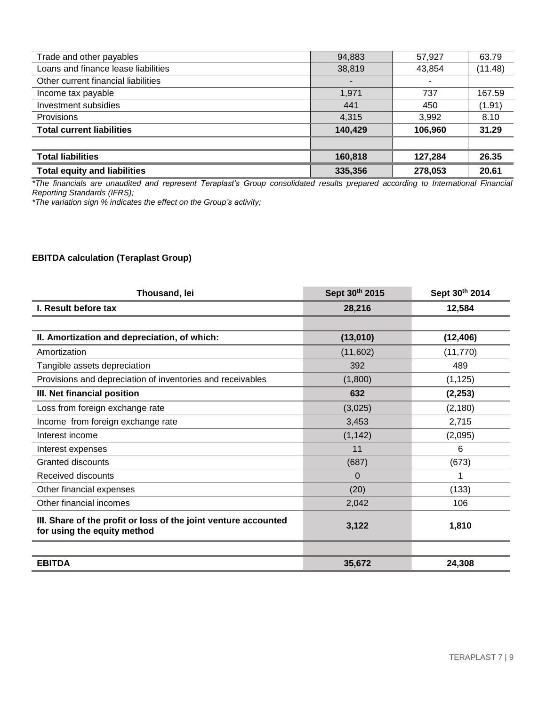| Trade and other payables            | 94,883  | 57,927  | 63.79   |
|-------------------------------------|---------|---------|---------|
| Loans and finance lease liabilities | 38,819  | 43,854  | (11.48) |
| Other current financial liabilities |         |         |         |
| Income tax payable                  | 1,971   | 737     | 167.59  |
| Investment subsidies                | 441     | 450     | (1.91)  |
| Provisions                          | 4,315   | 3,992   | 8.10    |
| <b>Total current liabilities</b>    | 140.429 | 106.960 | 31.29   |
|                                     |         |         |         |
| <b>Total liabilities</b>            | 160,818 | 127,284 | 26.35   |
| <b>Total equity and liabilities</b> | 335,356 | 278,053 | 20.61   |

*\*The financials are unaudited and represent Teraplast's Group consolidated results prepared according to International Financial Reporting Standards (IFRS);*

*\*The variation sign % indicates the effect on the Group's activity;*

## **EBITDA calculation (Teraplast Group)**

| Thousand, lei                                                                                  | Sept 30th 2015 | Sept 30th 2014 |
|------------------------------------------------------------------------------------------------|----------------|----------------|
| I. Result before tax                                                                           | 28,216         | 12,584         |
|                                                                                                |                |                |
| II. Amortization and depreciation, of which:                                                   | (13,010)       | (12, 406)      |
| Amortization                                                                                   | (11,602)       | (11, 770)      |
| Tangible assets depreciation                                                                   | 392            | 489            |
| Provisions and depreciation of inventories and receivables                                     | (1,800)        | (1, 125)       |
| III. Net financial position                                                                    | 632            | (2, 253)       |
| Loss from foreign exchange rate                                                                | (3,025)        | (2, 180)       |
| Income from foreign exchange rate                                                              | 3,453          | 2,715          |
| Interest income                                                                                | (1, 142)       | (2,095)        |
| Interest expenses                                                                              | 11             | 6              |
| Granted discounts                                                                              | (687)          | (673)          |
| Received discounts                                                                             | $\Omega$       |                |
| Other financial expenses                                                                       | (20)           | (133)          |
| Other financial incomes                                                                        | 2,042          | 106            |
| III. Share of the profit or loss of the joint venture accounted<br>for using the equity method | 3,122          | 1,810          |
|                                                                                                |                |                |
| <b>EBITDA</b>                                                                                  | 35,672         | 24,308         |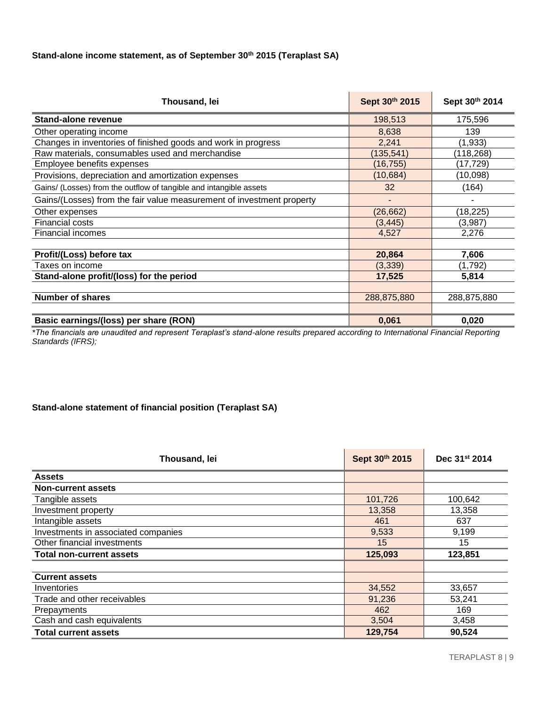# **Stand-alone income statement, as of September 30th 2015 (Teraplast SA)**

| Thousand, lei                                                         | Sept 30th 2015 | Sept 30th 2014 |
|-----------------------------------------------------------------------|----------------|----------------|
| Stand-alone revenue                                                   | 198,513        | 175,596        |
| Other operating income                                                | 8,638          | 139            |
| Changes in inventories of finished goods and work in progress         | 2,241          | (1,933)        |
| Raw materials, consumables used and merchandise                       | (135,541)      | (118,268)      |
| Employee benefits expenses                                            | (16, 755)      | (17,729)       |
| Provisions, depreciation and amortization expenses                    | (10,684)       | (10,098)       |
| Gains/ (Losses) from the outflow of tangible and intangible assets    | 32             | (164)          |
| Gains/(Losses) from the fair value measurement of investment property |                | ۰              |
| Other expenses                                                        | (26, 662)      | (18,225)       |
| <b>Financial costs</b>                                                | (3, 445)       | (3,987)        |
| <b>Financial incomes</b>                                              | 4,527          | 2,276          |
|                                                                       |                |                |
| Profit/(Loss) before tax                                              | 20,864         | 7,606          |
| Taxes on income                                                       | (3,339)        | (1,792)        |
| Stand-alone profit/(loss) for the period                              | 17,525         | 5,814          |
|                                                                       |                |                |
| <b>Number of shares</b>                                               | 288,875,880    | 288,875,880    |
|                                                                       |                |                |
| Basic earnings/(loss) per share (RON)                                 | 0,061          | 0,020          |

*\*The financials are unaudited and represent Teraplast's stand-alone results prepared according to International Financial Reporting Standards (IFRS);*

## **Stand-alone statement of financial position (Teraplast SA)**

| Thousand, lei                       | Sept 30th 2015 | Dec 31 <sup>st</sup> 2014 |
|-------------------------------------|----------------|---------------------------|
| <b>Assets</b>                       |                |                           |
| Non-current assets                  |                |                           |
| Tangible assets                     | 101,726        | 100,642                   |
| Investment property                 | 13,358         | 13,358                    |
| Intangible assets                   | 461            | 637                       |
| Investments in associated companies | 9,533          | 9,199                     |
| Other financial investments         | 15             | 15                        |
| <b>Total non-current assets</b>     | 125,093        | 123,851                   |
|                                     |                |                           |
| <b>Current assets</b>               |                |                           |
| Inventories                         | 34,552         | 33,657                    |
| Trade and other receivables         | 91,236         | 53,241                    |
| Prepayments                         | 462            | 169                       |
| Cash and cash equivalents           | 3,504          | 3,458                     |
| <b>Total current assets</b>         | 129,754        | 90,524                    |